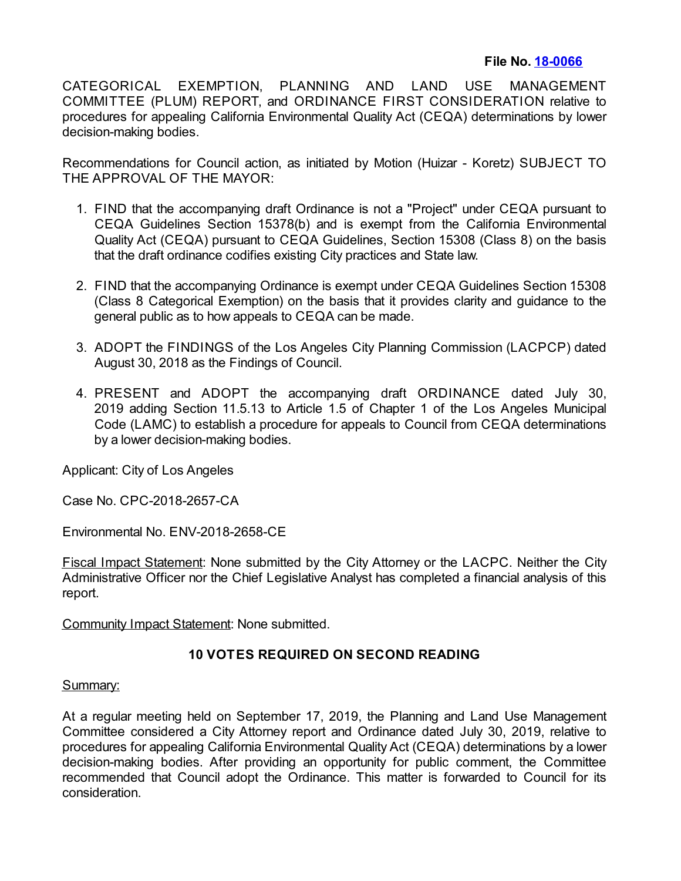## **File No. [18-0066](https://cityclerk.lacity.org/lacityclerkconnect/index.cfm?fa=ccfi.viewrecord&cfnumber=18-0066)**

CATEGORICAL EXEMPTION, PLANNING AND LAND USE MANAGEMENT COMMITTEE (PLUM) REPORT, and ORDINANCE FIRST CONSIDERATION relative to procedures for appealing California Environmental Quality Act (CEQA) determinations by lower decision-making bodies.

Recommendations for Council action, as initiated by Motion (Huizar - Koretz) SUBJECT TO THE APPROVAL OF THE MAYOR:

- 1. FIND that the accompanying draft Ordinance is not a "Project" under CEQA pursuant to CEQA Guidelines Section 15378(b) and is exempt from the California Environmental Quality Act (CEQA) pursuant to CEQA Guidelines, Section 15308 (Class 8) on the basis that the draft ordinance codifies existing City practices and State law.
- 2. FIND that the accompanying Ordinance is exempt under CEQA Guidelines Section 15308 (Class 8 Categorical Exemption) on the basis that it provides clarity and guidance to the general public as to how appeals to CEQA can be made.
- 3. ADOPT the FINDINGS of the Los Angeles City Planning Commission (LACPCP) dated August 30, 2018 as the Findings of Council.
- 4. PRESENT and ADOPT the accompanying draft ORDINANCE dated July 30, 2019 adding Section 11.5.13 to Article 1.5 of Chapter 1 of the Los Angeles Municipal Code (LAMC) to establish a procedure for appeals to Council from CEQA determinations by a lower decision-making bodies.

Applicant: City of Los Angeles

Case No. CPC-2018-2657-CA

Environmental No. ENV-2018-2658-CE

Fiscal Impact Statement: None submitted by the City Attorney or the LACPC. Neither the City Administrative Officer nor the Chief Legislative Analyst has completed a financial analysis of this report.

Community Impact Statement: None submitted.

## **10 VOTES REQUIRED ON SECOND READING**

## Summary:

At a regular meeting held on September 17, 2019, the Planning and Land Use Management Committee considered a City Attorney report and Ordinance dated July 30, 2019, relative to procedures for appealing California Environmental Quality Act (CEQA) determinations by a lower decision-making bodies. After providing an opportunity for public comment, the Committee recommended that Council adopt the Ordinance. This matter is forwarded to Council for its consideration.